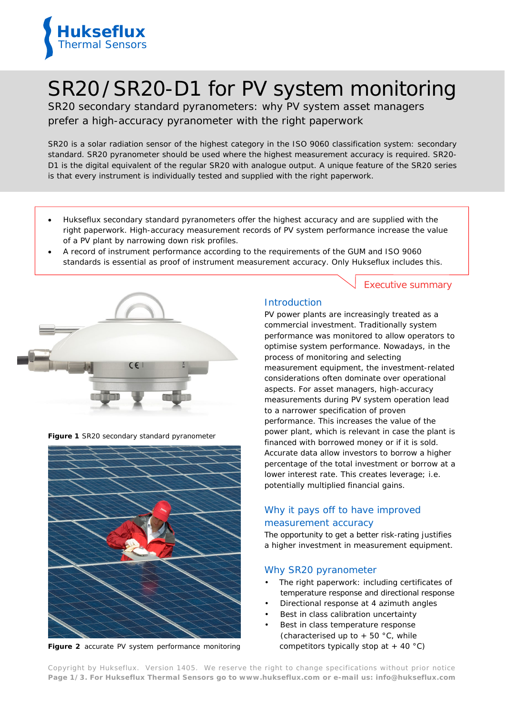

# SR20/SR20-D1 for PV system monitoring

SR20 secondary standard pyranometers: why PV system asset managers prefer a high-accuracy pyranometer with the right paperwork

*SR20 is a solar radiation sensor of the highest category in the ISO 9060 classification system: secondary standard. SR20 pyranometer should be used where the highest measurement accuracy is required. SR20- D1 is the digital equivalent of the regular SR20 with analogue output. A unique feature of the SR20 series is that every instrument is individually tested and supplied with the right paperwork.* 

- Hukseflux secondary standard pyranometers offer the highest accuracy and are supplied with the right paperwork. High-accuracy measurement records of PV system performance increase the value of a PV plant by narrowing down risk profiles.
- A record of instrument performance according to the requirements of the GUM and ISO 9060 standards is essential as proof of instrument measurement accuracy. Only Hukseflux includes this.



**Figure 1** *SR20 secondary standard pyranometer*



**Figure 2** *accurate PV system performance monitoring*

#### Executive summary

## **Introduction**

PV power plants are increasingly treated as a commercial investment. Traditionally system performance was monitored to allow operators to optimise system performance. Nowadays, in the process of monitoring and selecting measurement equipment, the investment-related considerations often dominate over operational aspects. For asset managers, high-accuracy measurements during PV system operation lead to a narrower specification of proven performance. This increases the value of the power plant, which is relevant in case the plant is financed with borrowed money or if it is sold. Accurate data allow investors to borrow a higher percentage of the total investment or borrow at a lower interest rate. This creates leverage; i.e. potentially multiplied financial gains.

# Why it pays off to have improved measurement accuracy

The opportunity to get a better risk-rating justifies a higher investment in measurement equipment.

#### Why SR20 pyranometer

- The right paperwork: including certificates of temperature response and directional response
- Directional response at 4 azimuth angles
- Best in class calibration uncertainty
- Best in class temperature response (characterised up to  $+50$  °C, while competitors typically stop at  $+$  40 °C)

Copyright by Hukseflux. Version 1405. We reserve the right to change specifications without prior notice **Page 1/3. For Hukseflux Thermal Sensors go to [www.hukseflux.com](http://www.hukseflux.com/) or e-mail us: [info@hukseflux.com](mailto:info@hukseflux.com?subject=brochure)**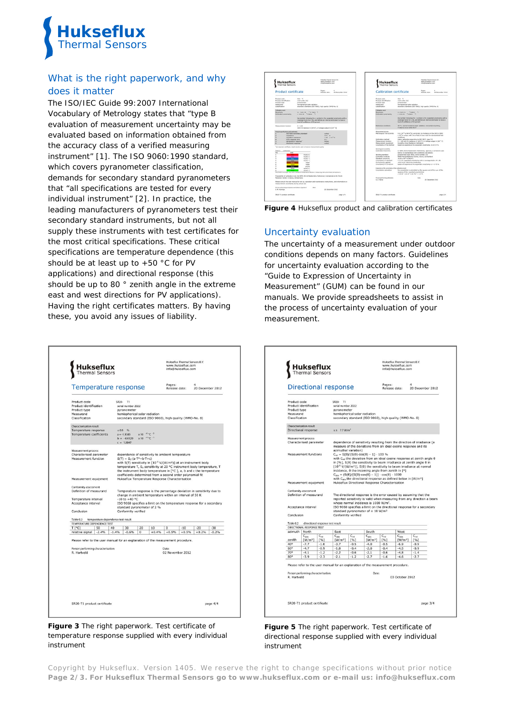

# What is the right paperwork, and why does it matter

The ISO/IEC Guide 99:2007 International Vocabulary of Metrology states that "type B evaluation of measurement uncertainty may be evaluated based on information obtained from the accuracy class of a verified measuring instrument" [1]. The ISO 9060:1990 standard, which covers pyranometer classification, demands for secondary standard pyranometers that "all specifications are tested for every individual instrument" [2]. In practice, the leading manufacturers of pyranometers test their secondary standard instruments, but not all supply these instruments with test certificates for the most critical specifications. These critical specifications are temperature dependence (this should be at least up to +50 °C for PV applications) and directional response (this should be up to 80 ° zenith angle in the extreme east and west directions for PV applications). Having the right certificates matters. By having these, you avoid any issues of liability.

| <b>Hukseflux</b><br>Thermal Sensors                                                                                                    |                                    |               |                                                                                                                                                                                                                                                                                                                                                                                                                                                                       |                                               |               |                           | info@hukseflux.com |                       |         |
|----------------------------------------------------------------------------------------------------------------------------------------|------------------------------------|---------------|-----------------------------------------------------------------------------------------------------------------------------------------------------------------------------------------------------------------------------------------------------------------------------------------------------------------------------------------------------------------------------------------------------------------------------------------------------------------------|-----------------------------------------------|---------------|---------------------------|--------------------|-----------------------|---------|
| Temperature response                                                                                                                   |                                    |               |                                                                                                                                                                                                                                                                                                                                                                                                                                                                       |                                               |               | Pages:<br>Release date:   |                    | 4<br>20 December 2012 |         |
| Product code<br>Product identification<br>Product type<br>Measurand<br>Classification                                                  |                                    |               | SR20-<br>T1<br>serial number 2022<br>pyranometer<br>hemispherical solar radiation<br>secondary standard (ISO 9060), high quality (WMO-No. 8)                                                                                                                                                                                                                                                                                                                          |                                               |               |                           |                    |                       |         |
| Characterisation result<br>Temperature response<br><b>Temperature coefficients</b>                                                     |                                    |               | ± 0.9 %<br>$a = -1.1385$<br>$b = -0.0529$<br>$c = 1.0047$                                                                                                                                                                                                                                                                                                                                                                                                             | $x 10^{-6}$ °C $-2$<br>$x 10^{-4}$ °C $^{-1}$ |               |                           |                    |                       |         |
| Measurement process<br>Characterised parameter<br>Measurement function<br>Measurement equipment                                        |                                    |               | dependence of sensitivity to ambient temperature<br>$S(T) = S_0 \cdot (a - T^2 + b - T + c)$<br>with S(T) sensitivity in [10 <sup>-6</sup> V/(W/m <sup>2</sup> )] at an instrument body<br>temperature T, S <sub>0</sub> sensitivity at 20 °C instrument body temperature, T<br>the instrument body temperature in [°C ], a, b and c the temperature<br>coefficients determined from a second order polynomial fit<br>Hukseflux Temperature Response Characterisation |                                               |               |                           |                    |                       |         |
| Conformity assessment<br>Definition of measurand<br>Temperature interval<br>Acceptance interval<br>Conclusion                          |                                    |               | Temperature response is the percentage deviation in sensitivity due to<br>change in ambient temperature within an interval of 50 K<br>$-10$ to $+40$ °C<br>ISO 9060 specifies a limit on the temperature response for a secondary<br>standard pyranometer of 2 %<br>Conformity verified                                                                                                                                                                               |                                               |               |                           |                    |                       |         |
|                                                                                                                                        |                                    |               |                                                                                                                                                                                                                                                                                                                                                                                                                                                                       |                                               |               |                           |                    |                       |         |
| Table 0.3                                                                                                                              | temperature dependence test result |               |                                                                                                                                                                                                                                                                                                                                                                                                                                                                       |                                               |               |                           |                    |                       |         |
| TEMPERATURE DEPENDENCE TEST<br>T[°C]<br>relative signal                                                                                | 50<br>$-2.4%$                      | 40<br>$-1.4%$ | 30<br>$-0.6%$                                                                                                                                                                                                                                                                                                                                                                                                                                                         | 20<br>$\bf{0}$                                | 10<br>$+0.4%$ | $\Omega$<br>$+0.5%$       | $-10$<br>$+0.5%$   | $-20$<br>$+0.2%$      | $-30$   |
| Please refer to the user manual for an explanation of the measurement procedure.<br>Person performing characterisation:<br>R. Hartveld |                                    |               |                                                                                                                                                                                                                                                                                                                                                                                                                                                                       |                                               |               | Date:<br>02 November 2012 |                    |                       | $-0.2%$ |

**Figure 3** *The right paperwork. Test certificate of temperature response supplied with every individual instrument*



**Figure 4** *Hukseflux product and calibration certificates* 

## Uncertainty evaluation

The uncertainty of a measurement under outdoor conditions depends on many factors. Guidelines for uncertainty evaluation according to the "Guide to Expression of Uncertainty in Measurement" (GUM) can be found in our manuals. We provide spreadsheets to assist in the process of uncertainty evaluation of your measurement.

|                                                                                       | <b>Thermal Sensors</b>                             |                                  |                                                                                                                                                                                                                                                                                                                                                                                                                                                                                                                                                                                                                                       |                  |                                                         |                         |                                                 |                  |  |  |
|---------------------------------------------------------------------------------------|----------------------------------------------------|----------------------------------|---------------------------------------------------------------------------------------------------------------------------------------------------------------------------------------------------------------------------------------------------------------------------------------------------------------------------------------------------------------------------------------------------------------------------------------------------------------------------------------------------------------------------------------------------------------------------------------------------------------------------------------|------------------|---------------------------------------------------------|-------------------------|-------------------------------------------------|------------------|--|--|
| <b>Directional response</b>                                                           |                                                    |                                  |                                                                                                                                                                                                                                                                                                                                                                                                                                                                                                                                                                                                                                       |                  |                                                         | Pages:<br>Release date: |                                                 | 20 December 2012 |  |  |
| Product code<br>Product identification<br>Product type<br>Measurand<br>Classification |                                                    |                                  | SR20- T1<br>serial number 2022<br>pyranometer<br>hemispherical solar radiation                                                                                                                                                                                                                                                                                                                                                                                                                                                                                                                                                        |                  | secondary standard (ISO 9060), high quality (WMO-No. 8) |                         |                                                 |                  |  |  |
|                                                                                       | Characterisation result<br>Directional response    |                                  | $5 \pm 7.7$ W/m <sup>2</sup>                                                                                                                                                                                                                                                                                                                                                                                                                                                                                                                                                                                                          |                  |                                                         |                         |                                                 |                  |  |  |
| Measurement process<br>Characterised parameter                                        |                                                    |                                  | dependence of sensitivity resulting from the direction of irradiance (a<br>measure of the deviations from an ideal cosine response and its<br>azimuthal variation)                                                                                                                                                                                                                                                                                                                                                                                                                                                                    |                  |                                                         |                         |                                                 |                  |  |  |
| Measurement functions<br>Measurement equipment                                        |                                                    |                                  | $C_{rel} = S(\theta)/(S(0) \cdot \cos(\theta) - 1) \cdot 100 \%$<br>with C <sub>on</sub> the deviation from an ideal cosine response at zenith angle 0<br>in [%], S(0) the sensitivity to beam irradiance at zenith angle 0 in<br>[10 <sup>-6</sup> V/(W/m <sup>2</sup> )], S(0) the sensitivity to beam irradiance at normal<br>incidence, $\theta$ the incoming angle from zenith in [°]<br>$C_{\text{abs}} = (S(\theta)/(S(0) \cdot \cos(\theta) - 1)) \cdot \cos(\theta) \cdot 1000$<br>with C <sub>abs</sub> the directional response as defined below in [W/m <sup>2</sup> ]<br>Hukseflux Directional Response Characterisation |                  |                                                         |                         |                                                 |                  |  |  |
| Conformity assessment<br>Definition of measurand<br>Acceptance interval<br>Conclusion |                                                    |                                  | The directional response is the error caused by assuming that the<br>reported sensitivity is valid when measuring from any direction a beam<br>whose normal incidence is 1000 W/m <sup>2</sup> .<br>ISO 9060 specifies a limit on the directional response for a secondary<br>standard pyranometer of $\pm$ 10 W/m <sup>2</sup><br>Conformity verified                                                                                                                                                                                                                                                                                |                  |                                                         |                         |                                                 |                  |  |  |
|                                                                                       |                                                    |                                  |                                                                                                                                                                                                                                                                                                                                                                                                                                                                                                                                                                                                                                       |                  |                                                         |                         |                                                 |                  |  |  |
|                                                                                       |                                                    | directional response test result |                                                                                                                                                                                                                                                                                                                                                                                                                                                                                                                                                                                                                                       |                  |                                                         |                         |                                                 |                  |  |  |
|                                                                                       | DIRECTIONAL RESPONSE TEST                          |                                  |                                                                                                                                                                                                                                                                                                                                                                                                                                                                                                                                                                                                                                       |                  |                                                         |                         |                                                 |                  |  |  |
| Table 0.2<br>azimuth<br>zenith                                                        | North<br>$C_{abs}$<br>$\left[\frac{W}{m^2}\right]$ | $C_{rel}$<br>[%]                 | East<br>$C_{abs}$<br>$\left[\frac{W}{m^2}\right]$                                                                                                                                                                                                                                                                                                                                                                                                                                                                                                                                                                                     | $C_{rel}$<br>[%] | South<br>$C_{abs}$<br>$[W/m^2]$                         | $C_{rel}$<br>[%]        | West<br>$C_{\text{obs}}$<br>[W/m <sup>2</sup> ] | $C_{rel}$<br>[%] |  |  |
|                                                                                       | $-7.7$                                             | $-1.0$                           | $-3.7$                                                                                                                                                                                                                                                                                                                                                                                                                                                                                                                                                                                                                                | $-0.5$           | $-4.0$                                                  | $-0.5$                  | $-6.9$                                          | $-0.9$           |  |  |
|                                                                                       | $-4.7$                                             | $-0.9$                           | $-1.8$                                                                                                                                                                                                                                                                                                                                                                                                                                                                                                                                                                                                                                | $-0.4$           | $-2.0$                                                  | $-0.4$                  | $-4.5$                                          | $-0.9$           |  |  |
| 40°<br>$60^\circ$<br>70°<br>$80^\circ$                                                | $-4.1$<br>$-3.9$                                   | $-1.2$<br>$-2.3$                 | $-2.2$<br>$-2.1$                                                                                                                                                                                                                                                                                                                                                                                                                                                                                                                                                                                                                      | $-0.6$<br>$-1.2$ | $-2.1$<br>$-2.7$                                        | $-0.6$<br>$-1.6$        | $-4.8$<br>$-4.6$                                | $-1.4$<br>$-2.7$ |  |  |



Copyright by Hukseflux. Version 1405. We reserve the right to change specifications without prior notice **Page 2/3. For Hukseflux Thermal Sensors go to [www.hukseflux.com](http://www.hukseflux.com/) or e-mail us: [info@hukseflux.com](mailto:info@hukseflux.com?subject=brochure)**